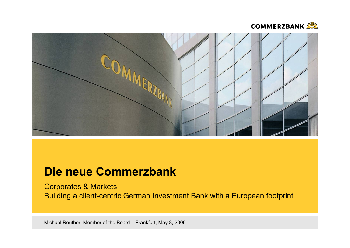



# **Die neue Commerzbank**

Corporates & Markets – Building a client-centric German Investment Bank with a European footprint

Michael Reuther, Member of the Board | Frankfurt, May 8, 2009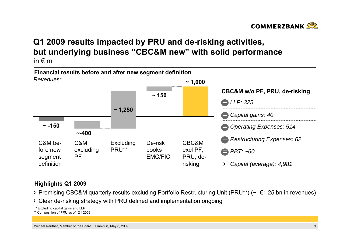

## **Q1 2009 results impacted by PRU and de-risking activities, but underlying business "CBC&M new" with solid performance** in  $\notin$  m



### **Highlights Q1 2009**

- Promising CBC&M quarterly results excluding Portfolio Restructuring Unit (PRU\*\*) (~ -€1.25 bn in revenues)
- Clear de-risking strategy with PRU defined and implementation ongoing

\* Excluding capital gains and LLP

\*\* Composition of PRU as of Q1 2009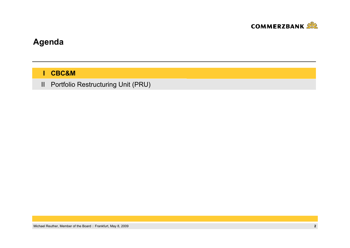

# **Agenda**

**CBC&M I**

Portfolio Restructuring Unit (PRU) II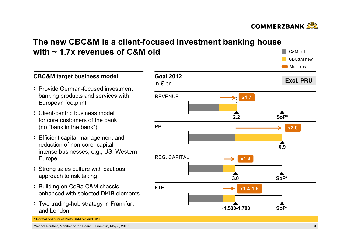

C&M oldCBC&M new

# **The new CBC&M is a client-focused investment banking house with ~ 1.7x revenues of C&M old**

**Goal 2012**in € bn**Excl. PRU**REVENUEPBTREG. CAPITALFTE **Multiples 2.20.93.0 ~1,500-1,700 x1.7 x2.0 SoP\*x1.4 SoP\*SoP\*x1.4-1.5**

### **CBC&M target business model**

- Provide German-focused investment banking products and services with European footprint
- Client-centric business model for core customers of the bank (no "bank in the bank")
- Efficient capital management and reduction of non-core, capital intense businesses, e.g., US, Western Europe
- > Strong sales culture with cautious approach to risk taking
- > Building on CoBa C&M chassis enhanced with selected DKIB elements
- > Two trading-hub strategy in Frankfurt and London

\* Normalized sum of Parts C&M old and DKIB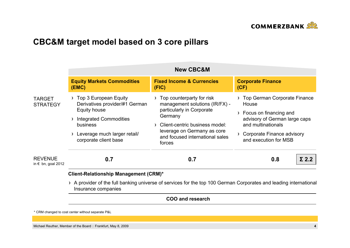

# **CBC&M target model based on 3 core pillars**

|                                      | <b>New CBC&amp;M</b>                                                  |                                                                                                                                                                                                                                                                                                                |                                                                                 |  |
|--------------------------------------|-----------------------------------------------------------------------|----------------------------------------------------------------------------------------------------------------------------------------------------------------------------------------------------------------------------------------------------------------------------------------------------------------|---------------------------------------------------------------------------------|--|
|                                      | <b>Equity Markets Commodities</b><br>(EMC)                            | <b>Fixed Income &amp; Currencies</b><br>(FIG)                                                                                                                                                                                                                                                                  | <b>Corporate Finance</b><br>(CF)                                                |  |
| <b>TARGET</b><br><b>STRATEGY</b>     | $\rightarrow$ Top 3 European Equity<br>Derivatives provider/#1 German | Top counterparty for risk<br>management solutions (IR/FX) -<br>particularly in Corporate<br><b>Equity house</b><br>Germany<br><b>Integrated Commodities</b><br>Client-centric business model:<br>business<br>leverage on Germany as core<br>and focused international sales<br>corporate client base<br>forces | > Top German Corporate Finance<br>House                                         |  |
|                                      |                                                                       |                                                                                                                                                                                                                                                                                                                | > Focus on financing and<br>advisory of German large caps<br>and multinationals |  |
|                                      | Leverage much larger retail/                                          |                                                                                                                                                                                                                                                                                                                | > Corporate Finance advisory<br>and execution for MSB                           |  |
| <b>REVENUE</b><br>in € bn, goal 2012 | 0.7                                                                   | 0.7                                                                                                                                                                                                                                                                                                            | 0.8<br>פ כי                                                                     |  |

### **Client-Relationship Management (CRM)\***

A provider of the full banking universe of services for the top 100 German Corporates and leading international Insurance companies

**COO and research**

\* CRM changed to cost center without separate P&L

Michael Reuther, Member of the Board Frankfurt, May 8, 2009 **4**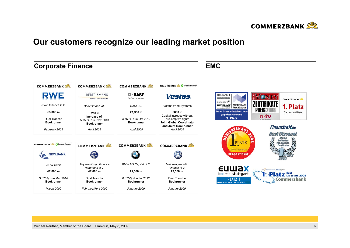

# **Our customers recognize our leading market position**

| <b>Corporate Finance</b>                                                       |                                                                                                                       |                                                                                                   |                                                                                                   | <b>EMC</b>                                                                                                                                                               |
|--------------------------------------------------------------------------------|-----------------------------------------------------------------------------------------------------------------------|---------------------------------------------------------------------------------------------------|---------------------------------------------------------------------------------------------------|--------------------------------------------------------------------------------------------------------------------------------------------------------------------------|
| <b>COMMERZBANK</b>                                                             | <b>COMMERZBANK</b>                                                                                                    | <b>COMMERZBANK</b>                                                                                | <b>COMMERZBANK &amp; Oresdner Kleinwort</b>                                                       |                                                                                                                                                                          |
|                                                                                | <b>BERTELSMANN</b><br>media worldwide                                                                                 | $\square$ - BASF<br>The Chemical Company                                                          | Vestas.                                                                                           | <b>DIE</b> WELT<br><b>WELTHINGNNEWS</b><br><b>COMMERZBANK</b><br>scoach <b>»</b>                                                                                         |
| RWE Finance B.V.                                                               | Bertelsmann AG                                                                                                        | <b>BASF SE</b>                                                                                    | <b>Vestas Wind Systems</b>                                                                        | ZERTIFIKATE<br><b>AWARD</b> 2003<br><b>ZERTIFIKATE</b><br>1. Platz                                                                                                       |
| €3,000 m<br>Dual Tranche<br><b>Bookrunner</b>                                  | €250 m<br>Increase of<br>5.750% due Nov 2013                                                                          | €1,350 m<br>3.750% due Oct 2012<br><b>Bookrunner</b>                                              | €800 m<br>Capital increase without<br>pre-emptive rights<br><b>Joint Global Coordinator</b>       | PREIS 2008<br><b>Bester Emittent des lahres 2008</b><br>Discountzertifikate<br>Jury-Gesamtwertung<br>$n$ -tv<br>1. Platz                                                 |
| February 2009                                                                  | <b>Bookrunner</b><br>April 2009                                                                                       | April 2009                                                                                        | and Joint Bookrunner<br>April 2009                                                                | <b>Finanztreff.de</b>                                                                                                                                                    |
| <b>COMMERZBANK &amp; O Dresdner Kleinwort</b><br><b>NRW.BANK</b>               | <b>COMMERZBANK</b>                                                                                                    | <b>COMMERZBANK</b>                                                                                | <b>COMMERZBANK</b>                                                                                | <b>Best Discount</b><br><b>PLATZ</b><br><b>KATEGORI</b><br><b>DISCOUNT-ZERTIFIKATE</b><br><b>DER@AKTIONAR</b>                                                            |
| NRW Bank<br>€2,000 m<br>3.375% due Mar 2014<br><b>Bookrunner</b><br>March 2009 | <b>ThyssenKrupp Finance</b><br>Nederland B.V.<br>€2,000 m<br>Dual Tranche<br><b>Bookrunner</b><br>February/April 2009 | <b>BMW US Capital LLC</b><br>€1,500 m<br>6.375% due Jul 2012<br><b>Bookrunner</b><br>January 2009 | Volkswagen Int'l<br>Finance N.V.<br>€3,500 m<br>Dual Tranche<br><b>Bookrunner</b><br>January 2009 | <b>EUWAX</b><br>boerse-stuttgart<br>Anno<br><b>Best</b><br>Discount 2008<br><b>PLATZ1</b><br>Commerzbank<br>$\bullet$<br>0.8626<br><b>GESAMTMARKTANTEIL AN DER EUWAX</b> |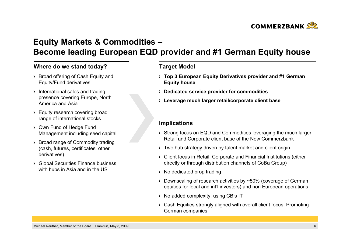

# **Equity Markets & Commodities – Become leading European EQD provider and #1 German Equity house**

### **Where do we stand today? Target Model**

- > Broad offering of Cash Equity and Equity/Fund derivatives
- $\rightarrow$  International sales and trading presence covering Europe, North America and Asia
- > Equity research covering broad range of international stocks
- Own Fund of Hedge Fund Management including seed capital
- > Broad range of Commodity trading (cash, futures, certificates, other derivatives)
- Global Securities Finance business with hubs in Asia and in the US

- **Top 3 European Equity Derivatives provider and #1 German Equity house**
- **Dedicated service provider for commodities**
- **Leverage much larger retail/corporate client base**

- Strong focus on EQD and Commodities leveraging the much larger Retail and Corporate client base of the New Commerzbank
- Two hub strategy driven by talent market and client origin
- Client focus in Retail, Corporate and Financial Institutions (either directly or through distribution channels of CoBa Group)
- > No dedicated prop trading
- Downscaling of research activities by ~50% (coverage of German equities for local and int'l investors) and non European operations
- > No added complexity: using CB's IT
- Cash Equities strongly aligned with overall client focus: Promoting German companies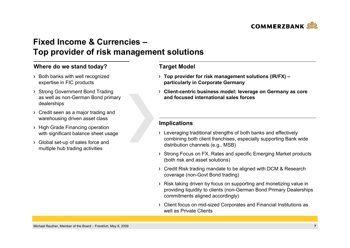

# **Fixed Income & Currencies –Top provider of risk management solutions**

### **Where do we stand today? Target Model**

- > Both banks with well recognized expertise in FIC products
- > Strong Government Bond Trading as well as non-German Bond primary dealerships
- > Credit seen as a major trading and warehousing driven asset class
- > High Grade Financing operation with significant balance sheet usage
- Global set-up of sales force and multiple hub trading activities

- **Top provider for risk management solutions (IR/FX) – particularly in Corporate Germany**
- **Client-centric business model: leverage on Germany as core and focused international sales forces**

- Leveraging traditional strengths of both banks and effectively combining both client franchises, especially supporting Bank wide distribution channels (e.g., MSB)
- Strong Focus on FX, Rates and specific Emerging Market products (both risk and asset solutions)
- Credit Risk trading mandate to be aligned with DCM & Research coverage (non-Govt Bond trading)
- Risk taking driven by focus on supporting and monetizing value in providing liquidity to clients (non-German Bond Primary Dealerships commitments aligned accordingly)
- Client focus on mid-sized Corporates and Financial Institutions as well as Private Clients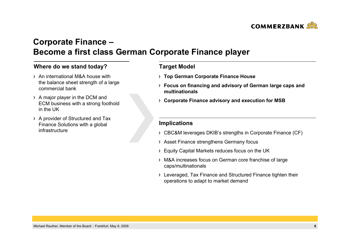

# **Corporate Finance – Become a first class German Corporate Finance player**

### **Where do we stand today? Target Model**

- An international M&A house with the balance sheet strength of a large commercial bank
- $\rightarrow$  A major player in the DCM and ECM business with a strong foothold in the UK
- A provider of Structured and Tax Finance Solutions with a global infrastructure

- **Top German Corporate Finance House**
- **Focus on financing and advisory of German large caps and multinationals**
- **Corporate Finance advisory and execution for MSB**

- CBC&M leverages DKIB's strengths in Corporate Finance (CF)
- Asset Finance strengthens Germany focus
- Equity Capital Markets reduces focus on the UK
- M&A increases focus on German core franchise of large caps/multinationals
- Leveraged, Tax Finance and Structured Finance tighten their operations to adapt to market demand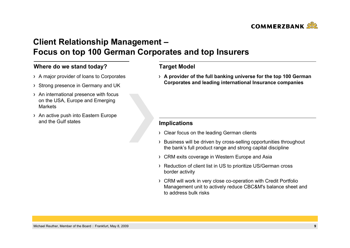

# **Client Relationship Management – Focus on top 100 German Corporates and top Insurers**

### **Where do we stand today? Target Model**

- A major provider of loans to Corporates
- Strong presence in Germany and UK
- > An international presence with focus on the USA, Europe and Emerging **Markets**
- $\rightarrow$  An active push into Eastern Europe and the Gulf states

**A provider of the full banking universe for the top 100 German Corporates and leading international Insurance companies**

- Clear focus on the leading German clients
- Business will be driven by cross-selling opportunities throughout the bank's full product range and strong capital discipline
- CRM exits coverage in Western Europe and Asia
- > Reduction of client list in US to prioritize US/German cross border activity
- CRM will work in very close co-operation with Credit Portfolio Management unit to actively reduce CBC&M's balance sheet and to address bulk risks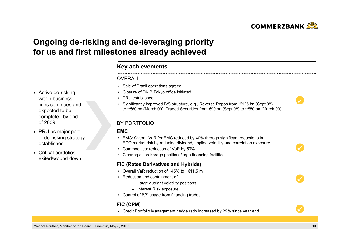

# **Ongoing de-risking and de-leveraging priority for us and first milestones already achieved**

### **Key achievements**

### **OVERALL**

- > Sale of Brazil operations agreed
- Closure of DKIB Tokyo office initiated
- PRU established
- Significantly improved B/S structure, e.g., Reverse Repos from €125 bn (Sept 08) to ~€60 bn (March 09), Traded Securities from €90 bn (Sept 08) to ~€50 bn (March 09)

### BY PORTFOLIO

#### **EMC**

- EMC: Overall VaR for EMC reduced by 40% through significant reductions in EQD market risk by reducing dividend, implied volatility and correlation exposure
- Commodities: reduction of VaR by 50%
- Clearing all brokerage positions/large financing facilities

#### **FIC (Rates Derivatives and Hybrids)**

- Overall VaR reduction of ~45% to ~€11.5 m
- Reduction and containment of
	- Large outright volatility positions
	- Interest Risk exposure
- Control of B/S usage from financing trades

### **FIC (CPM)**

Credit Portfolio Management hedge ratio increased by 29% since year end

- > Active de-risking within business lines continues and expected to be completed by end of 2009
- PRU as major part of de-risking strategy established
- Critical portfolios exited/wound down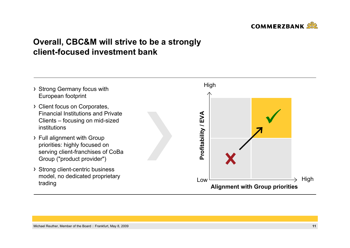

# **Overall, CBC&M will strive to be a strongly client-focused investment bank**

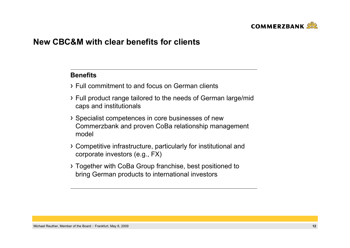

## **New CBC&M with clear benefits for clients**

### **Benefits**

- Full commitment to and focus on German clients
- Full product range tailored to the needs of German large/mid caps and institutionals
- Specialist competences in core businesses of new Commerzbank and proven CoBa relationship management model
- Competitive infrastructure, particularly for institutional and corporate investors (e.g., FX)
- Together with CoBa Group franchise, best positioned to bring German products to international investors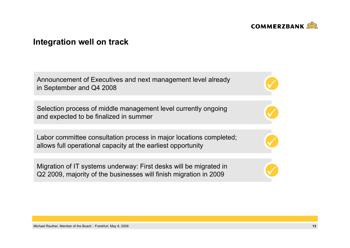

 $\checkmark$ 

 $\checkmark$ 

 $\checkmark$ 

## **Integration well on track**

Announcement of Executives and next management level already **1996 and 1997** 

Selection process of middle management level currently ongoing and expected to be finalized in summer

Labor committee consultation process in major locations completed; allows full operational capacity at the earliest opportunity

Migration of IT systems underway: First desks will be migrated in Q2 2009, majority of the businesses will finish migration in 2009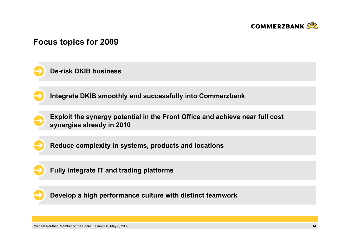

# **Focus topics for 2009**





**Exploit the synergy potential in the Front Office and achieve near full cost synergies already in 2010**





**Fully integrate IT and trading platforms**

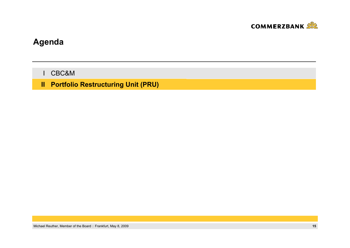

# **Agenda**

CBC&M I

**Portfolio Restructuring Unit (PRU) II**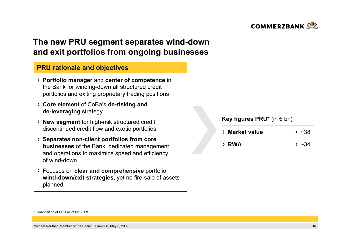

# **The new PRU segment separates wind-down and exit portfolios from ongoing businesses**

### **PRU rationale and objectives**

- **Portfolio manager** and **center of competence** in the Bank for winding-down all structured credit portfolios and exiting proprietary trading positions
- **Core element** of CoBa's **de-risking and de-leveraging** strategy
- **New segment** for high-risk structured credit, discontinued credit flow and exotic portfolios
- **Separates non-client portfolios from core businesses** of the Bank; dedicated management and operations to maximize speed and efficiency of wind-down
- Focuses on **clear and comprehensive** portfolio **wind-down/exit strategies**, yet no fire-sale of assets planned

### **Key figures PRU\*** (in € bn)

| > Market value | $>$ ~38 |
|----------------|---------|
|                |         |
| > RWA          | $>$ ~34 |

<sup>\*</sup> Composition of PRU as of Q1 2009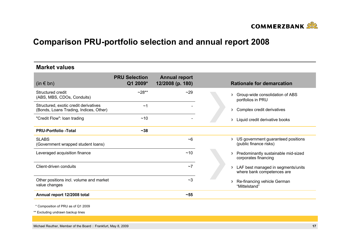

# **Comparison PRU-portfolio selection and annual report 2008**

| <b>Market values</b>                                                            |                                  |                                          |                                                                              |
|---------------------------------------------------------------------------------|----------------------------------|------------------------------------------|------------------------------------------------------------------------------|
| $(in \in bn)$                                                                   | <b>PRU Selection</b><br>Q1 2009* | <b>Annual report</b><br>12/2008 (p. 180) | <b>Rationale for demarcation</b>                                             |
| Structured credit<br>(ABS, MBS, CDOs, Conduits)                                 | $-28**$                          | ~29                                      | Group-wide consolidation of ABS<br>><br>portfolios in PRU                    |
| Structured, exotic credit derivatives<br>(Bonds, Loans Trading, Indices, Other) | ~1                               |                                          | Complex credit derivatives<br>እ                                              |
| "Credit Flow": Ioan trading                                                     | ~10                              |                                          | Liquid credit derivative books<br>>                                          |
| <b>PRU-Portfolio -Total</b>                                                     | $-38$                            |                                          |                                                                              |
| <b>SLABS</b><br>(Government wrapped student loans)                              |                                  | $~1$ <sup>-6</sup>                       | US government guaranteed positions<br>እ<br>(public finance risks)            |
| Leveraged acquisition finance                                                   |                                  | ~10                                      | Predominantly sustainable mid-sized<br>$\rightarrow$<br>corporates financing |
| Client-driven conduits                                                          |                                  | ~1                                       | LAF best managed in segments/units<br>→<br>where bank competences are        |
| Other positions incl. volume and market<br>value changes                        |                                  | ~2                                       | Re-financing vehicle German<br>እ<br>"Mittelstand"                            |
| Annual report 12/2008 total                                                     |                                  | $-55$                                    |                                                                              |
|                                                                                 |                                  |                                          |                                                                              |

\* Composition of PRU as of Q1 2009

\*\* Excluding undrawn backup lines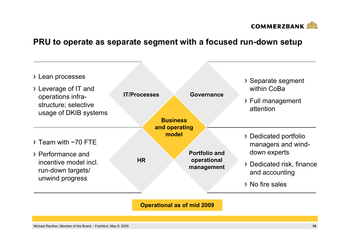

## **PRU to operate as separate segment with a focused run-down setup**

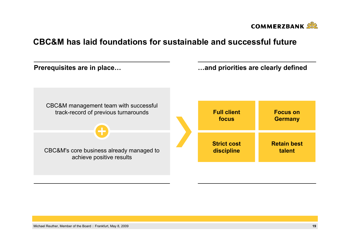

# **CBC&M has laid foundations for sustainable and successful future**

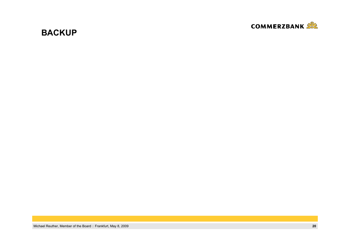

# **BACKUP**

Michael Reuther, Member of the Board Frankfurt, May 8, 2009 **20**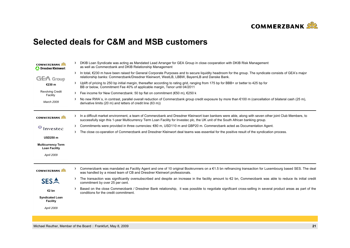

## **Selected deals for C&M and MSB customers**

| <b>COMMERZBANK</b><br>Dresdner Kleinwort          |                  | DKIB Loan Syndicate was acting as Mandated Lead Arranger for GEA Group in close cooperation with DKIB Risk Management<br>as well as Commerzbank and DKIB Relationship Management                                                                                                          |
|---------------------------------------------------|------------------|-------------------------------------------------------------------------------------------------------------------------------------------------------------------------------------------------------------------------------------------------------------------------------------------|
| <b>GEA</b> Group                                  | $\rightarrow$    | In total, €230 m have been raised for General Corporate Purposes and to secure liquidity headroom for the group. The syndicate consists of GEA's major<br>relationship banks: Commerzbank/Dresdner Kleinwort, WestLB, LBBW, BayernLB and Danske Bank.                                     |
| €230 m                                            |                  | > Uplift of pricing to 250 bp initial margin, thereafter according to rating grid, ranging from 175 bp for BBB+ or better to 425 bp for<br>BB or below, Commitment Fee 40% of applicable margin, Tenor until 04/2011                                                                      |
| <b>Revolving Credit</b><br>Facility               |                  | Fee income for New Commerzbank: 50 bp flat on commitment (€50 m), $€250$ k                                                                                                                                                                                                                |
| March 2009                                        | Э.               | No new RWA`s, in contrast, parallel overall reduction of Commerzbank group credit exposure by more than €100 m (cancellation of bilateral cash (25 m),<br>derivative limits (20 m) and letters of credit line (63 m))                                                                     |
| <b>COMMERZBANK</b>                                | э.               | In a difficult market environment, a team of Commerzbank and Dresdner Kleinwort loan bankers were able, along with seven other joint Club Members, to<br>successfully sign this 1-year Multicurrency Term Loan Facility for Investec plc, the UK unit of the South African banking group. |
| ⊕<br>Investec                                     | $\rightarrow$    | Commitments were provided in three currencies: €80 m, USD110 m and GBP20 m. Commerzbank acted as Documentation Agent.                                                                                                                                                                     |
|                                                   | $\sum_{i=1}^{n}$ | The close co-operation of Commerzbank and Dresdner Kleinwort deal teams was essential for the positive result of the syndication process.                                                                                                                                                 |
| <b>USD250 m</b>                                   |                  |                                                                                                                                                                                                                                                                                           |
| <b>Multicurrency Term</b><br><b>Loan Facility</b> |                  |                                                                                                                                                                                                                                                                                           |
| April 2009                                        |                  |                                                                                                                                                                                                                                                                                           |
|                                                   |                  |                                                                                                                                                                                                                                                                                           |
| <b>COMMERZBANK</b>                                | э.               | Commerzbank was mandated as Facility Agent and one of 10 original Bookrunners on a €1.5 bn refinancing transaction for Luxembourg based SES. The deal<br>was handled by a mixed team of CB and Dresdner Kleinwort professionals.                                                          |
| <b>SESA</b>                                       | Σ.               | The transaction was significantly oversubscribed and despite an increase in the facility amount to $\epsilon$ 2 bn, Commerzbank was able to reduce its initial credit<br>commitment by over 25 per cent.                                                                                  |
| €2 bn                                             |                  | Based on the close Commerzbank / Dresdner Bank relationship, it was possible to negotiate significant cross-selling in several product areas as part of the<br>conditions for the credit commitment.                                                                                      |
| <b>Syndicated Loan</b><br><b>Facility</b>         |                  |                                                                                                                                                                                                                                                                                           |
| April 2009                                        |                  |                                                                                                                                                                                                                                                                                           |
|                                                   |                  |                                                                                                                                                                                                                                                                                           |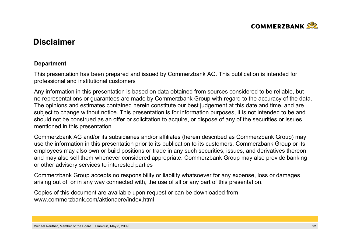

# **Disclaimer**

### **Department**

This presentation has been prepared and issued by Commerzbank AG. This publication is intended for professional and institutional customers

Any information in this presentation is based on data obtained from sources considered to be reliable, but no representations or guarantees are made by Commerzbank Group with regard to the accuracy of the data. The opinions and estimates contained herein constitute our best judgement at this date and time, and are subject to change without notice. This presentation is for information purposes, it is not intended to be and should not be construed as an offer or solicitation to acquire, or dispose of any of the securities or issues mentioned in this presentation

Commerzbank AG and/or its subsidiaries and/or affiliates (herein described as Commerzbank Group) may use the information in this presentation prior to its publication to its customers. Commerzbank Group or its employees may also own or build positions or trade in any such securities, issues, and derivatives thereon and may also sell them whenever considered appropriate. Commerzbank Group may also provide banking or other advisory services to interested parties

Commerzbank Group accepts no responsibility or liability whatsoever for any expense, loss or damages arising out of, or in any way connected with, the use of all or any part of this presentation.

Copies of this document are available upon request or can be downloaded from www.commerzbank.com/aktionaere/index.html